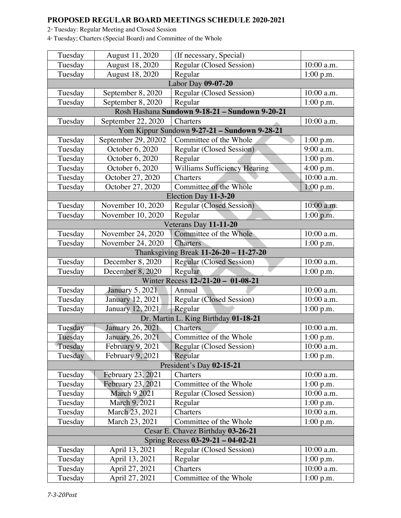## **PROPOSED REGULAR BOARD MEETINGS SCHEDULE 2020-2021**

 $2<sup>\text{nd}</sup> Tuesday: Regular Meeting and Closed Session$ 

4<sup>\*</sup> Tuesday; Charters (Special Board) and Committee of the Whole

| August 11, 2020<br>Tuesday                     | (If necessary, Special)                |             |  |
|------------------------------------------------|----------------------------------------|-------------|--|
| August 18, 2020<br>Tuesday                     | Regular (Closed Session)               | 10:00 a.m.  |  |
| August 18, 2020<br>Tuesday                     | Regular                                | 1:00 p.m.   |  |
|                                                | Labor Day 09-07-20                     |             |  |
| Tuesday<br>September 8, 2020                   | Regular (Closed Session)               | 10:00 a.m.  |  |
| September 8, 2020<br>Tuesday                   | Regular                                | 1:00 p.m.   |  |
| Rosh Hashana Sundown 9-18-21 - Sundown 9-20-21 |                                        |             |  |
| September 22, 2020<br>Tuesday                  | Charters                               | 10:00 a.m.  |  |
| Yom Kippur Sundown 9-27-21 - Sundown 9-28-21   |                                        |             |  |
| September 29, 20202<br>Tuesday                 | Committee of the Whole                 | 1:00 p.m.   |  |
| Tuesday<br>October 6, 2020                     | Regular (Closed Session)               | 9:00 a.m.   |  |
| Tuesday<br>October 6, 2020                     | Regular                                | 1:00 p.m.   |  |
| Tuesday<br>October 6, 2020                     | <b>Williams Sufficiency Hearing</b>    | 4:00 p.m.   |  |
| October 27, 2020<br>Tuesday                    | Charters                               | 10:00 a.m.  |  |
| October 27, 2020<br>Tuesday                    | Committee of the Whole                 | 1:00 p.m.   |  |
| Election Day 11-3-20                           |                                        |             |  |
| Tuesday<br>November 10, 2020                   | <b>Regular (Closed Session)</b>        | 10:00 a.m.  |  |
| November 10, 2020<br>Tuesday                   | Regular                                | 1:00 p.m.   |  |
|                                                | Veterans Day 11-11-20                  |             |  |
| November 24, 2020<br>Tuesday                   | Committee of the Whole                 | 10:00 a.m.  |  |
| November 24, 2020<br>Tuesday                   | <b>Charters</b>                        | 1:00 p.m.   |  |
|                                                | Thanksgiving Break 11-26-20 - 11-27-20 |             |  |
| Tuesday<br>December 8, 2020                    | <b>Regular (Closed Session)</b>        | 10:00 a.m.  |  |
| Tuesday<br>December 8, 2020                    | Regular                                | 1:00 p.m.   |  |
| Winter Recess 12-/21-20 - 01-08-21             |                                        |             |  |
| Tuesday<br><b>January 5, 2021</b>              | Annual                                 | 10:00 a.m.  |  |
| Tuesday<br>January 12, 2021                    | <b>Regular (Closed Session)</b>        | 10:00 a.m.  |  |
| January 12, 2021<br>Tuesday                    | Regular                                | 1:00 p.m.   |  |
|                                                | Dr. Martin L. King Birthday 01-18-21   |             |  |
| <b>January 26, 2021</b><br>Tuesday             | Charters                               | 10:00 a.m.  |  |
| Tuesday<br>January 26, 2021                    | Committee of the Whole                 | 1:00 p.m.   |  |
| Tuesday<br>February 9, 2021                    | Regular (Closed Session)               | 10:00 a.m.  |  |
| February 9, 2021<br>Tuesday                    | Regular                                | 1:00 p.m.   |  |
| President's Day 02-15-21                       |                                        |             |  |
| Tuesday<br>February 23, 2021                   | Charters                               | 10:00 a.m.  |  |
| <b>February 23, 2021</b><br>Tuesday            | Committee of the Whole                 | $1:00$ p.m. |  |
| <b>March 9 2021</b><br>Tuesday                 | Regular (Closed Session)               | 10:00 a.m.  |  |
| March 9, 2021<br>Tuesday                       | Regular                                | 1:00 p.m.   |  |
| Tuesday<br>March 23, 2021                      | Charters                               | 10:00 a.m.  |  |
| Tuesday<br>March 23, 2021                      | Committee of the Whole                 | 1:00 p.m.   |  |
| Cesar E. Chavez Birthday 03-26-21              |                                        |             |  |
| Spring Recess 03-29-21 - 04-02-21              |                                        |             |  |
| April 13, 2021<br>Tuesday                      | <b>Regular (Closed Session)</b>        | 10:00 a.m.  |  |
| Tuesday<br>April 13, 2021                      |                                        |             |  |
|                                                | Regular                                | $1:00$ p.m. |  |
| Tuesday<br>April 27, 2021                      | Charters                               | 10:00 a.m.  |  |